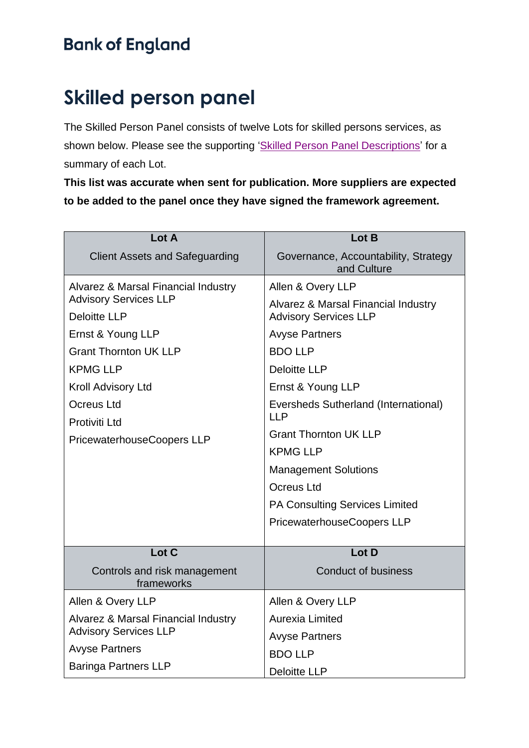## **Skilled person panel**

The Skilled Person Panel consists of twelve Lots for skilled persons services, as shown below. Please see the supporting ['Skilled Person Panel Descriptions'](https://www.bankofengland.co.uk/-/media/boe/files/prudential-regulation/supervision/skilled-persons/skilled-person-panel-lot-descriptions.pdf?la=en&hash=8CF907B51A298F822348904C04C1395446BF8CB6) for a summary of each Lot.

**This list was accurate when sent for publication. More suppliers are expected to be added to the panel once they have signed the framework agreement.**

| Lot A                                                               | Lot B                                               |
|---------------------------------------------------------------------|-----------------------------------------------------|
| <b>Client Assets and Safeguarding</b>                               | Governance, Accountability, Strategy<br>and Culture |
| Alvarez & Marsal Financial Industry                                 | Allen & Overy LLP                                   |
| <b>Advisory Services LLP</b>                                        | Alvarez & Marsal Financial Industry                 |
| <b>Deloitte LLP</b>                                                 | <b>Advisory Services LLP</b>                        |
| Ernst & Young LLP                                                   | <b>Avyse Partners</b>                               |
| <b>Grant Thornton UK LLP</b>                                        | <b>BDO LLP</b>                                      |
| <b>KPMG LLP</b>                                                     | <b>Deloitte LLP</b>                                 |
| Kroll Advisory Ltd                                                  | Ernst & Young LLP                                   |
| Ocreus Ltd                                                          | Eversheds Sutherland (International)<br><b>LLP</b>  |
| Protiviti Ltd<br>PricewaterhouseCoopers LLP                         | <b>Grant Thornton UK LLP</b>                        |
|                                                                     | <b>KPMG LLP</b>                                     |
|                                                                     | <b>Management Solutions</b>                         |
|                                                                     | <b>Ocreus Ltd</b>                                   |
|                                                                     | PA Consulting Services Limited                      |
|                                                                     | PricewaterhouseCoopers LLP                          |
| Lot C                                                               | Lot D                                               |
| Controls and risk management<br>frameworks                          | <b>Conduct of business</b>                          |
| Allen & Overy LLP                                                   | Allen & Overy LLP                                   |
| Alvarez & Marsal Financial Industry<br><b>Advisory Services LLP</b> | Aurexia Limited                                     |
|                                                                     | <b>Avyse Partners</b>                               |
| <b>Avyse Partners</b>                                               | <b>BDO LLP</b>                                      |
| <b>Baringa Partners LLP</b>                                         | <b>Deloitte LLP</b>                                 |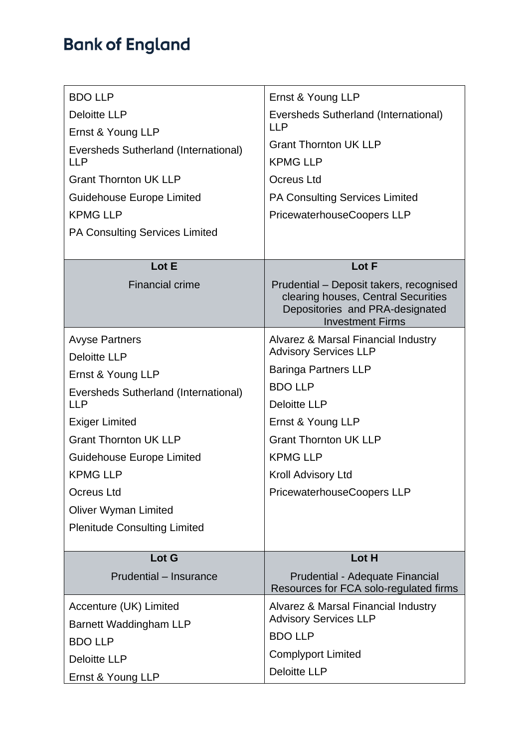| <b>BDO LLP</b>                        | Ernst & Young LLP                                                                                                                            |
|---------------------------------------|----------------------------------------------------------------------------------------------------------------------------------------------|
| <b>Deloitte LLP</b>                   | Eversheds Sutherland (International)                                                                                                         |
| Ernst & Young LLP                     | <b>LLP</b>                                                                                                                                   |
| Eversheds Sutherland (International)  | <b>Grant Thornton UK LLP</b>                                                                                                                 |
| <b>LLP</b>                            | <b>KPMG LLP</b>                                                                                                                              |
| <b>Grant Thornton UK LLP</b>          | <b>Ocreus Ltd</b>                                                                                                                            |
| Guidehouse Europe Limited             | <b>PA Consulting Services Limited</b>                                                                                                        |
| <b>KPMG LLP</b>                       | PricewaterhouseCoopers LLP                                                                                                                   |
| <b>PA Consulting Services Limited</b> |                                                                                                                                              |
|                                       |                                                                                                                                              |
| Lot E                                 | Lot F                                                                                                                                        |
| <b>Financial crime</b>                | Prudential - Deposit takers, recognised<br>clearing houses, Central Securities<br>Depositories and PRA-designated<br><b>Investment Firms</b> |
| <b>Avyse Partners</b>                 | Alvarez & Marsal Financial Industry                                                                                                          |
| <b>Deloitte LLP</b>                   | <b>Advisory Services LLP</b>                                                                                                                 |
| Ernst & Young LLP                     | <b>Baringa Partners LLP</b>                                                                                                                  |
| Eversheds Sutherland (International)  | <b>BDO LLP</b>                                                                                                                               |
| <b>LLP</b>                            | <b>Deloitte LLP</b>                                                                                                                          |
| <b>Exiger Limited</b>                 | Ernst & Young LLP                                                                                                                            |
| <b>Grant Thornton UK LLP</b>          | <b>Grant Thornton UK LLP</b>                                                                                                                 |
| Guidehouse Europe Limited             | <b>KPMG LLP</b>                                                                                                                              |
| <b>KPMG LLP</b>                       | Kroll Advisory Ltd                                                                                                                           |
| <b>Ocreus Ltd</b>                     | <b>PricewaterhouseCoopers LLP</b>                                                                                                            |
| <b>Oliver Wyman Limited</b>           |                                                                                                                                              |
| <b>Plenitude Consulting Limited</b>   |                                                                                                                                              |
| Lot G                                 | Lot H                                                                                                                                        |
| Prudential - Insurance                | Prudential - Adequate Financial<br>Resources for FCA solo-regulated firms                                                                    |
| Accenture (UK) Limited                | Alvarez & Marsal Financial Industry                                                                                                          |
| <b>Barnett Waddingham LLP</b>         | <b>Advisory Services LLP</b>                                                                                                                 |
| <b>BDO LLP</b>                        | <b>BDO LLP</b>                                                                                                                               |
| <b>Deloitte LLP</b>                   | <b>Complyport Limited</b>                                                                                                                    |
| Ernst & Young LLP                     | <b>Deloitte LLP</b>                                                                                                                          |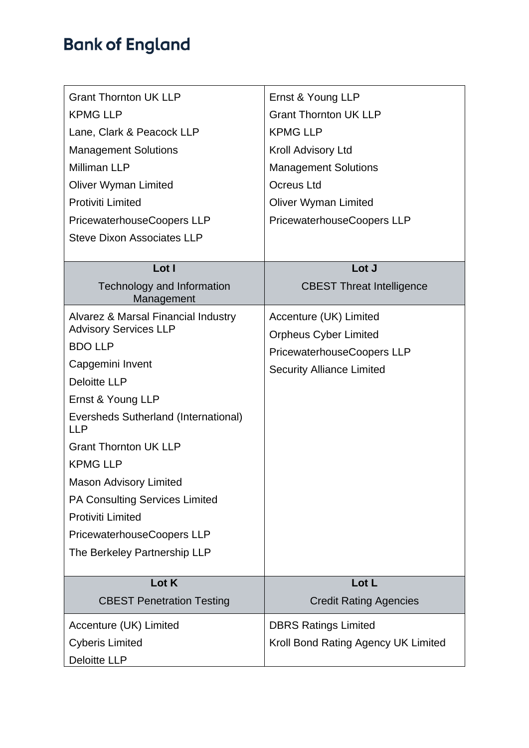| <b>Grant Thornton UK LLP</b>                       | Ernst & Young LLP                   |
|----------------------------------------------------|-------------------------------------|
| <b>KPMG LLP</b>                                    | <b>Grant Thornton UK LLP</b>        |
| Lane, Clark & Peacock LLP                          | <b>KPMG LLP</b>                     |
| <b>Management Solutions</b>                        | Kroll Advisory Ltd                  |
| <b>Milliman LLP</b>                                | <b>Management Solutions</b>         |
| <b>Oliver Wyman Limited</b>                        | <b>Ocreus Ltd</b>                   |
| <b>Protiviti Limited</b>                           | <b>Oliver Wyman Limited</b>         |
| PricewaterhouseCoopers LLP                         | PricewaterhouseCoopers LLP          |
| <b>Steve Dixon Associates LLP</b>                  |                                     |
|                                                    |                                     |
| Lot I                                              | Lot J                               |
| Technology and Information<br>Management           | <b>CBEST Threat Intelligence</b>    |
| <b>Alvarez &amp; Marsal Financial Industry</b>     | Accenture (UK) Limited              |
| <b>Advisory Services LLP</b>                       | <b>Orpheus Cyber Limited</b>        |
| <b>BDO LLP</b>                                     | PricewaterhouseCoopers LLP          |
| Capgemini Invent                                   | <b>Security Alliance Limited</b>    |
| <b>Deloitte LLP</b>                                |                                     |
| Ernst & Young LLP                                  |                                     |
| Eversheds Sutherland (International)<br><b>LLP</b> |                                     |
| <b>Grant Thornton UK LLP</b>                       |                                     |
| <b>KPMG LLP</b>                                    |                                     |
| <b>Mason Advisory Limited</b>                      |                                     |
| <b>PA Consulting Services Limited</b>              |                                     |
| <b>Protiviti Limited</b>                           |                                     |
| PricewaterhouseCoopers LLP                         |                                     |
| The Berkeley Partnership LLP                       |                                     |
| Lot K                                              | Lot L                               |
| <b>CBEST Penetration Testing</b>                   | <b>Credit Rating Agencies</b>       |
| Accenture (UK) Limited                             | <b>DBRS Ratings Limited</b>         |
| <b>Cyberis Limited</b>                             | Kroll Bond Rating Agency UK Limited |
| <b>Deloitte LLP</b>                                |                                     |